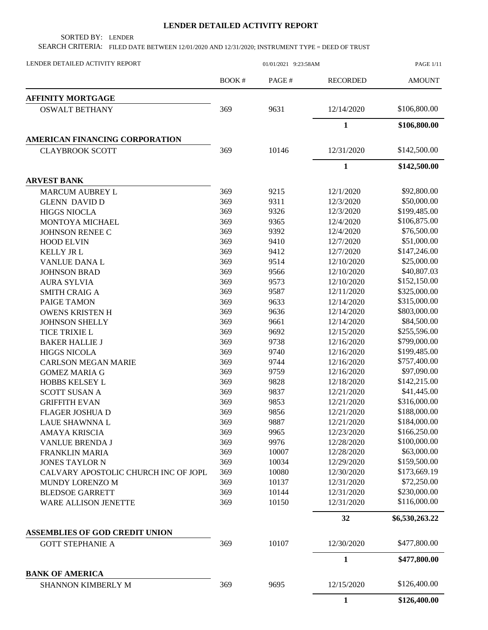## **LENDER DETAILED ACTIVITY REPORT**

SORTED BY: LENDER

SEARCH CRITERIA: FILED DATE BETWEEN 12/01/2020 AND 12/31/2020; INSTRUMENT TYPE = DEED OF TRUST

| LENDER DETAILED ACTIVITY REPORT       | 01/01/2021 9:23:58AM |       |                 | <b>PAGE 1/11</b> |
|---------------------------------------|----------------------|-------|-----------------|------------------|
|                                       | BOOK#                | PAGE# | <b>RECORDED</b> | <b>AMOUNT</b>    |
| <b>AFFINITY MORTGAGE</b>              |                      |       |                 |                  |
| <b>OSWALT BETHANY</b>                 | 369                  | 9631  | 12/14/2020      | \$106,800.00     |
|                                       |                      |       | $\mathbf{1}$    | \$106,800.00     |
| <b>AMERICAN FINANCING CORPORATION</b> |                      |       |                 |                  |
| <b>CLAYBROOK SCOTT</b>                | 369                  | 10146 | 12/31/2020      | \$142,500.00     |
|                                       |                      |       | $\mathbf{1}$    | \$142,500.00     |
| <b>ARVEST BANK</b>                    |                      |       |                 |                  |
| <b>MARCUM AUBREY L</b>                | 369                  | 9215  | 12/1/2020       | \$92,800.00      |
| <b>GLENN DAVID D</b>                  | 369                  | 9311  | 12/3/2020       | \$50,000.00      |
| <b>HIGGS NIOCLA</b>                   | 369                  | 9326  | 12/3/2020       | \$199,485.00     |
| MONTOYA MICHAEL                       | 369                  | 9365  | 12/4/2020       | \$106,875.00     |
| JOHNSON RENEE C                       | 369                  | 9392  | 12/4/2020       | \$76,500.00      |
| <b>HOOD ELVIN</b>                     | 369                  | 9410  | 12/7/2020       | \$51,000.00      |
| <b>KELLY JR L</b>                     | 369                  | 9412  | 12/7/2020       | \$147,246.00     |
| VANLUE DANA L                         | 369                  | 9514  | 12/10/2020      | \$25,000.00      |
| <b>JOHNSON BRAD</b>                   | 369                  | 9566  | 12/10/2020      | \$40,807.03      |
| <b>AURA SYLVIA</b>                    | 369                  | 9573  | 12/10/2020      | \$152,150.00     |
| <b>SMITH CRAIG A</b>                  | 369                  | 9587  | 12/11/2020      | \$325,000.00     |
| PAIGE TAMON                           | 369                  | 9633  | 12/14/2020      | \$315,000.00     |
| <b>OWENS KRISTEN H</b>                | 369                  | 9636  | 12/14/2020      | \$803,000.00     |
| <b>JOHNSON SHELLY</b>                 | 369                  | 9661  | 12/14/2020      | \$84,500.00      |
| <b>TICE TRIXIE L</b>                  | 369                  | 9692  | 12/15/2020      | \$255,596.00     |
| <b>BAKER HALLIE J</b>                 | 369                  | 9738  | 12/16/2020      | \$799,000.00     |
| <b>HIGGS NICOLA</b>                   | 369                  | 9740  | 12/16/2020      | \$199,485.00     |
|                                       | 369                  | 9744  | 12/16/2020      | \$757,400.00     |
| <b>CARLSON MEGAN MARIE</b>            |                      |       |                 | \$97,090.00      |
| <b>GOMEZ MARIA G</b>                  | 369                  | 9759  | 12/16/2020      |                  |
| HOBBS KELSEY L                        | 369                  | 9828  | 12/18/2020      | \$142,215.00     |
| <b>SCOTT SUSAN A</b>                  | 369                  | 9837  | 12/21/2020      | \$41,445.00      |
| <b>GRIFFITH EVAN</b>                  | 369                  | 9853  | 12/21/2020      | \$316,000.00     |
| FLAGER JOSHUA D                       | 369                  | 9856  | 12/21/2020      | \$188,000.00     |
| <b>LAUE SHAWNNAL</b>                  | 369                  | 9887  | 12/21/2020      | \$184,000.00     |
| <b>AMAYA KRISCIA</b>                  | 369                  | 9965  | 12/23/2020      | \$166,250.00     |
| <b>VANLUE BRENDA J</b>                | 369                  | 9976  | 12/28/2020      | \$100,000.00     |
| <b>FRANKLIN MARIA</b>                 | 369                  | 10007 | 12/28/2020      | \$63,000.00      |
| <b>JONES TAYLOR N</b>                 | 369                  | 10034 | 12/29/2020      | \$159,500.00     |
| CALVARY APOSTOLIC CHURCH INC OF JOPL  | 369                  | 10080 | 12/30/2020      | \$173,669.19     |
| MUNDY LORENZO M                       | 369                  | 10137 | 12/31/2020      | \$72,250.00      |
| <b>BLEDSOE GARRETT</b>                | 369                  | 10144 | 12/31/2020      | \$230,000.00     |
| WARE ALLISON JENETTE                  | 369                  | 10150 | 12/31/2020      | \$116,000.00     |
|                                       |                      |       | 32              | \$6,530,263.22   |
| <b>ASSEMBLIES OF GOD CREDIT UNION</b> |                      |       |                 |                  |
| <b>GOTT STEPHANIE A</b>               | 369                  | 10107 | 12/30/2020      | \$477,800.00     |
|                                       |                      |       | $\mathbf{1}$    | \$477,800.00     |
| <b>BANK OF AMERICA</b>                |                      |       | 12/15/2020      | \$126,400.00     |
| <b>SHANNON KIMBERLY M</b>             | 369                  | 9695  |                 |                  |
|                                       |                      |       | $\mathbf{1}$    | \$126,400.00     |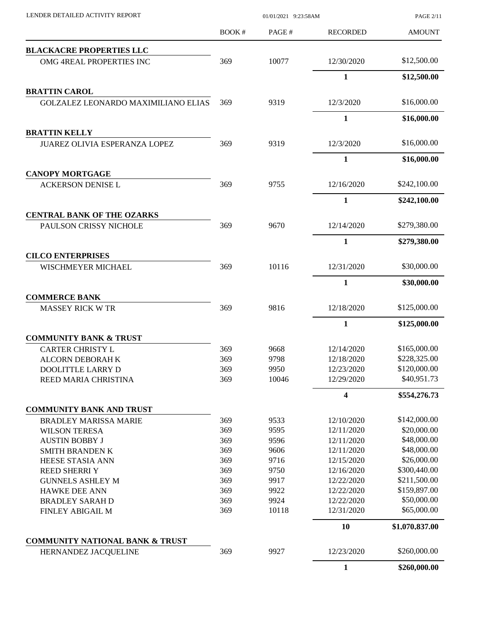| LENDER DETAILED ACTIVITY REPORT                             |       | <b>PAGE 2/11</b> |                 |                |
|-------------------------------------------------------------|-------|------------------|-----------------|----------------|
|                                                             | BOOK# | PAGE#            | <b>RECORDED</b> | <b>AMOUNT</b>  |
| <b>BLACKACRE PROPERTIES LLC</b>                             |       |                  |                 |                |
| OMG 4REAL PROPERTIES INC                                    | 369   | 10077            | 12/30/2020      | \$12,500.00    |
|                                                             |       |                  | 1               | \$12,500.00    |
| <b>BRATTIN CAROL</b>                                        |       |                  |                 |                |
| GOLZALEZ LEONARDO MAXIMILIANO ELIAS                         | 369   | 9319             | 12/3/2020       | \$16,000.00    |
|                                                             |       |                  | $\mathbf{1}$    | \$16,000.00    |
| <b>BRATTIN KELLY</b>                                        |       |                  |                 |                |
| JUAREZ OLIVIA ESPERANZA LOPEZ                               | 369   | 9319             | 12/3/2020       | \$16,000.00    |
|                                                             |       |                  | $\mathbf{1}$    | \$16,000.00    |
| <b>CANOPY MORTGAGE</b>                                      |       |                  |                 |                |
| <b>ACKERSON DENISE L</b>                                    | 369   | 9755             | 12/16/2020      | \$242,100.00   |
|                                                             |       |                  | 1               | \$242,100.00   |
| <b>CENTRAL BANK OF THE OZARKS</b><br>PAULSON CRISSY NICHOLE | 369   | 9670             | 12/14/2020      | \$279,380.00   |
|                                                             |       |                  |                 |                |
|                                                             |       |                  | $\mathbf{1}$    | \$279,380.00   |
| <b>CILCO ENTERPRISES</b><br>WISCHMEYER MICHAEL              | 369   | 10116            | 12/31/2020      | \$30,000.00    |
|                                                             |       |                  | $\mathbf{1}$    | \$30,000.00    |
| <b>COMMERCE BANK</b>                                        |       |                  |                 |                |
| <b>MASSEY RICK W TR</b>                                     | 369   | 9816             | 12/18/2020      | \$125,000.00   |
|                                                             |       |                  | 1               | \$125,000.00   |
| <b>COMMUNITY BANK &amp; TRUST</b>                           |       |                  |                 |                |
| <b>CARTER CHRISTY L</b>                                     | 369   | 9668             | 12/14/2020      | \$165,000.00   |
| ALCORN DEBORAH K                                            | 369   | 9798             | 12/18/2020      | \$228,325.00   |
| DOOLITTLE LARRY D                                           | 369   | 9950             | 12/23/2020      | \$120,000.00   |
| REED MARIA CHRISTINA                                        | 369   | 10046            | 12/29/2020      | \$40,951.73    |
|                                                             |       |                  | 4               | \$554,276.73   |
| <b>COMMUNITY BANK AND TRUST</b>                             |       |                  |                 |                |
| <b>BRADLEY MARISSA MARIE</b>                                | 369   | 9533             | 12/10/2020      | \$142,000.00   |
| <b>WILSON TERESA</b>                                        | 369   | 9595             | 12/11/2020      | \$20,000.00    |
| <b>AUSTIN BOBBY J</b>                                       | 369   | 9596             | 12/11/2020      | \$48,000.00    |
| <b>SMITH BRANDEN K</b>                                      | 369   | 9606             | 12/11/2020      | \$48,000.00    |
| HEESE STASIA ANN                                            | 369   | 9716             | 12/15/2020      | \$26,000.00    |
| <b>REED SHERRI Y</b>                                        | 369   | 9750             | 12/16/2020      | \$300,440.00   |
| <b>GUNNELS ASHLEY M</b>                                     | 369   | 9917             | 12/22/2020      | \$211,500.00   |
| <b>HAWKE DEE ANN</b>                                        | 369   | 9922             | 12/22/2020      | \$159,897.00   |
| <b>BRADLEY SARAH D</b>                                      | 369   | 9924             | 12/22/2020      | \$50,000.00    |
| FINLEY ABIGAIL M                                            | 369   | 10118            | 12/31/2020      | \$65,000.00    |
|                                                             |       |                  | 10              | \$1,070,837.00 |
| <b>COMMUNITY NATIONAL BANK &amp; TRUST</b>                  |       |                  |                 |                |
| HERNANDEZ JACQUELINE                                        | 369   | 9927             | 12/23/2020      | \$260,000.00   |
|                                                             |       |                  | 1               | \$260,000.00   |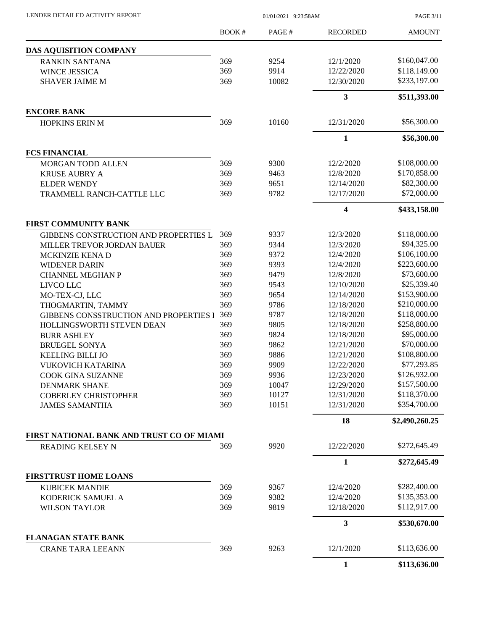| LENDER DETAILED ACTIVITY REPORT |  |
|---------------------------------|--|

 $01/01/2021$  9:23:58AM

PAGE 3/11

|                                               | <b>BOOK#</b> | PAGE#        | <b>RECORDED</b>          | <b>AMOUNT</b>              |
|-----------------------------------------------|--------------|--------------|--------------------------|----------------------------|
| DAS AQUISITION COMPANY                        |              |              |                          |                            |
| <b>RANKIN SANTANA</b>                         | 369          | 9254         | 12/1/2020                | \$160,047.00               |
| WINCE JESSICA                                 | 369          | 9914         | 12/22/2020               | \$118,149.00               |
| <b>SHAVER JAIME M</b>                         | 369          | 10082        | 12/30/2020               | \$233,197.00               |
|                                               |              |              | $\mathbf{3}$             | \$511,393.00               |
| <b>ENCORE BANK</b>                            |              |              |                          |                            |
| HOPKINS ERIN M                                | 369          | 10160        | 12/31/2020               | \$56,300.00                |
|                                               |              |              | $\mathbf{1}$             | \$56,300.00                |
| <b>FCS FINANCIAL</b>                          |              |              |                          |                            |
| <b>MORGAN TODD ALLEN</b>                      | 369          | 9300         | 12/2/2020                | \$108,000.00               |
| <b>KRUSE AUBRY A</b>                          | 369          | 9463         | 12/8/2020                | \$170,858.00               |
| <b>ELDER WENDY</b>                            | 369          | 9651         | 12/14/2020               | \$82,300.00                |
| TRAMMELL RANCH-CATTLE LLC                     | 369          | 9782         | 12/17/2020               | \$72,000.00                |
|                                               |              |              | 4                        | \$433,158.00               |
| <b>FIRST COMMUNITY BANK</b>                   |              |              |                          |                            |
| GIBBENS CONSTRUCTION AND PROPERTIES L         | 369          | 9337         | 12/3/2020                | \$118,000.00               |
| MILLER TREVOR JORDAN BAUER                    | 369          | 9344         | 12/3/2020                | \$94,325.00                |
| MCKINZIE KENA D                               | 369          | 9372         | 12/4/2020                | \$106,100.00               |
| <b>WIDENER DARIN</b>                          | 369          | 9393         | 12/4/2020                | \$223,600.00               |
| <b>CHANNEL MEGHAN P</b>                       | 369          | 9479         | 12/8/2020                | \$73,600.00<br>\$25,339.40 |
| LIVCO LLC                                     | 369<br>369   | 9543<br>9654 | 12/10/2020<br>12/14/2020 | \$153,900.00               |
| MO-TEX-CJ, LLC<br>THOGMARTIN, TAMMY           | 369          | 9786         | 12/18/2020               | \$210,000.00               |
| <b>GIBBENS CONSSTRUCTION AND PROPERTIES I</b> | 369          | 9787         | 12/18/2020               | \$118,000.00               |
| HOLLINGSWORTH STEVEN DEAN                     | 369          | 9805         | 12/18/2020               | \$258,800.00               |
| <b>BURR ASHLEY</b>                            | 369          | 9824         | 12/18/2020               | \$95,000.00                |
| <b>BRUEGEL SONYA</b>                          | 369          | 9862         | 12/21/2020               | \$70,000.00                |
| <b>KEELING BILLI JO</b>                       | 369          | 9886         | 12/21/2020               | \$108,800.00               |
| <b>VUKOVICH KATARINA</b>                      | 369          | 9909         | 12/22/2020               | \$77,293.85                |
| COOK GINA SUZANNE                             | 369          | 9936         | 12/23/2020               | \$126,932.00               |
| <b>DENMARK SHANE</b>                          | 369          | 10047        | 12/29/2020               | \$157,500.00               |
| <b>COBERLEY CHRISTOPHER</b>                   | 369          | 10127        | 12/31/2020               | \$118,370.00               |
| <b>JAMES SAMANTHA</b>                         | 369          | 10151        | 12/31/2020               | \$354,700.00               |
|                                               |              |              | 18                       | \$2,490,260.25             |
| FIRST NATIONAL BANK AND TRUST CO OF MIAMI     |              |              |                          |                            |
| <b>READING KELSEY N</b>                       | 369          | 9920         | 12/22/2020               | \$272,645.49               |
|                                               |              |              | $\mathbf{1}$             | \$272,645.49               |
| <b>FIRSTTRUST HOME LOANS</b>                  |              |              |                          |                            |
| <b>KUBICEK MANDIE</b>                         | 369          | 9367         | 12/4/2020                | \$282,400.00               |
| KODERICK SAMUEL A                             | 369          | 9382         | 12/4/2020                | \$135,353.00               |
| <b>WILSON TAYLOR</b>                          | 369          | 9819         | 12/18/2020               | \$112,917.00               |
|                                               |              |              | 3                        | \$530,670.00               |
| <b>FLANAGAN STATE BANK</b>                    |              |              |                          |                            |
| <b>CRANE TARA LEEANN</b>                      | 369          | 9263         | 12/1/2020                | \$113,636.00               |
|                                               |              |              | $\mathbf{1}$             | \$113,636.00               |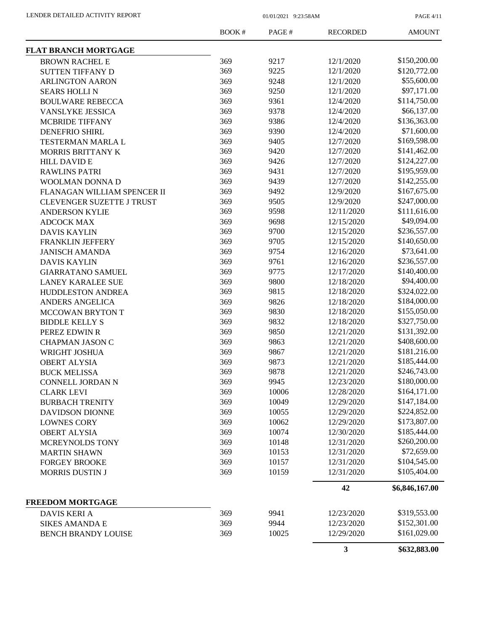PAGE 4/11

|                                                     | <b>BOOK#</b> | PAGE#          | <b>RECORDED</b>          | <b>AMOUNT</b>  |
|-----------------------------------------------------|--------------|----------------|--------------------------|----------------|
| <b>FLAT BRANCH MORTGAGE</b>                         |              |                |                          |                |
| <b>BROWN RACHEL E</b>                               | 369          | 9217           | 12/1/2020                | \$150,200.00   |
| <b>SUTTEN TIFFANY D</b>                             | 369          | 9225           | 12/1/2020                | \$120,772.00   |
| <b>ARLINGTON AARON</b>                              | 369          | 9248           | 12/1/2020                | \$55,600.00    |
| <b>SEARS HOLLIN</b>                                 | 369          | 9250           | 12/1/2020                | \$97,171.00    |
| <b>BOULWARE REBECCA</b>                             | 369          | 9361           | 12/4/2020                | \$114,750.00   |
| <b>VANSLYKE JESSICA</b>                             | 369          | 9378           | 12/4/2020                | \$66,137.00    |
| <b>MCBRIDE TIFFANY</b>                              | 369          | 9386           | 12/4/2020                | \$136,363.00   |
| <b>DENEFRIO SHIRL</b>                               | 369          | 9390           | 12/4/2020                | \$71,600.00    |
| TESTERMAN MARLA L                                   | 369          | 9405           | 12/7/2020                | \$169,598.00   |
| MORRIS BRITTANY K                                   | 369          | 9420           | 12/7/2020                | \$141,462.00   |
| <b>HILL DAVID E</b>                                 | 369          | 9426           | 12/7/2020                | \$124,227.00   |
| <b>RAWLINS PATRI</b>                                | 369          | 9431           | 12/7/2020                | \$195,959.00   |
| WOOLMAN DONNA D                                     | 369          | 9439           | 12/7/2020                | \$142,255.00   |
| FLANAGAN WILLIAM SPENCER II                         | 369          | 9492           | 12/9/2020                | \$167,675.00   |
| CLEVENGER SUZETTE J TRUST                           | 369          | 9505           | 12/9/2020                | \$247,000.00   |
| <b>ANDERSON KYLIE</b>                               | 369          | 9598           | 12/11/2020               | \$111,616.00   |
| <b>ADCOCK MAX</b>                                   | 369          | 9698           | 12/15/2020               | \$49,094.00    |
| <b>DAVIS KAYLIN</b>                                 | 369          | 9700           | 12/15/2020               | \$236,557.00   |
| <b>FRANKLIN JEFFERY</b>                             | 369          | 9705           | 12/15/2020               | \$140,650.00   |
| <b>JANISCH AMANDA</b>                               | 369          | 9754           | 12/16/2020               | \$73,641.00    |
| <b>DAVIS KAYLIN</b>                                 | 369          | 9761           | 12/16/2020               | \$236,557.00   |
| <b>GIARRATANO SAMUEL</b>                            | 369          | 9775           | 12/17/2020               | \$140,400.00   |
| <b>LANEY KARALEE SUE</b>                            | 369          | 9800           | 12/18/2020               | \$94,400.00    |
| HUDDLESTON ANDREA                                   | 369          | 9815           | 12/18/2020               | \$324,022.00   |
| ANDERS ANGELICA                                     | 369          | 9826           | 12/18/2020               | \$184,000.00   |
| <b>MCCOWAN BRYTON T</b>                             | 369          | 9830           | 12/18/2020               | \$155,050.00   |
| <b>BIDDLE KELLY S</b>                               | 369          | 9832           | 12/18/2020               | \$327,750.00   |
| PEREZ EDWIN R                                       | 369          | 9850           | 12/21/2020               | \$131,392.00   |
| <b>CHAPMAN JASON C</b>                              | 369          | 9863           | 12/21/2020               | \$408,600.00   |
| WRIGHT JOSHUA                                       | 369          | 9867           | 12/21/2020               | \$181,216.00   |
| <b>OBERT ALYSIA</b>                                 | 369          | 9873           | 12/21/2020               | \$185,444.00   |
|                                                     | 369          | 9878           | 12/21/2020               | \$246,743.00   |
| <b>BUCK MELISSA</b>                                 |              |                |                          | \$180,000.00   |
| CONNELL JORDAN N                                    | 369          | 9945           | 12/23/2020               | \$164,171.00   |
| <b>CLARK LEVI</b><br><b>BURBACH TRENITY</b>         | 369<br>369   | 10006<br>10049 | 12/28/2020<br>12/29/2020 | \$147,184.00   |
|                                                     | 369          | 10055          | 12/29/2020               | \$224,852.00   |
| <b>DAVIDSON DIONNE</b>                              |              | 10062          |                          | \$173,807.00   |
| <b>LOWNES CORY</b>                                  | 369<br>369   |                | 12/29/2020               | \$185,444.00   |
| <b>OBERT ALYSIA</b>                                 |              | 10074          | 12/30/2020               | \$260,200.00   |
| MCREYNOLDS TONY                                     | 369          | 10148          | 12/31/2020               |                |
| <b>MARTIN SHAWN</b>                                 | 369          | 10153          | 12/31/2020               | \$72,659.00    |
| <b>FORGEY BROOKE</b>                                | 369          | 10157          | 12/31/2020               | \$104,545.00   |
| <b>MORRIS DUSTIN J</b>                              | 369          | 10159          | 12/31/2020               | \$105,404.00   |
|                                                     |              |                | 42                       | \$6,846,167.00 |
| <b>FREEDOM MORTGAGE</b><br><b>DAVIS KERI A</b>      | 369          | 9941           | 12/23/2020               | \$319,553.00   |
|                                                     | 369          | 9944           | 12/23/2020               | \$152,301.00   |
| <b>SIKES AMANDA E</b><br><b>BENCH BRANDY LOUISE</b> | 369          | 10025          | 12/29/2020               | \$161,029.00   |
|                                                     |              |                | $\mathbf{3}$             | \$632,883.00   |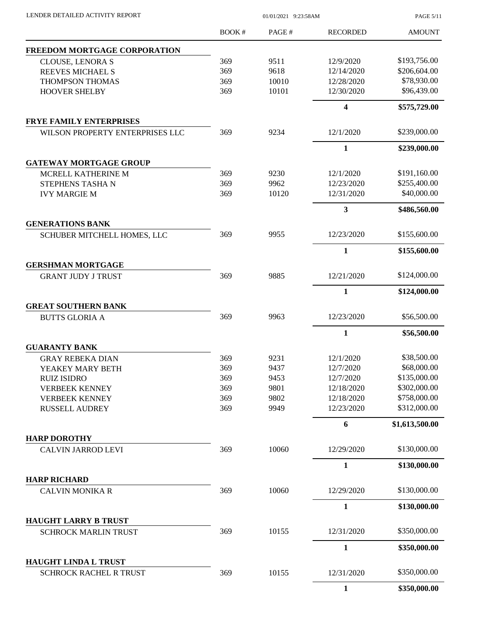PAGE 5/11

|                                                               | <b>BOOK#</b> | PAGE#        | <b>RECORDED</b>        | <b>AMOUNT</b>               |
|---------------------------------------------------------------|--------------|--------------|------------------------|-----------------------------|
| FREEDOM MORTGAGE CORPORATION                                  |              |              |                        |                             |
| <b>CLOUSE, LENORA S</b>                                       | 369          | 9511         | 12/9/2020              | \$193,756.00                |
| REEVES MICHAEL S                                              | 369          | 9618         | 12/14/2020             | \$206,604.00                |
| THOMPSON THOMAS                                               | 369          | 10010        | 12/28/2020             | \$78,930.00                 |
| <b>HOOVER SHELBY</b>                                          | 369          | 10101        | 12/30/2020             | \$96,439.00                 |
|                                                               |              |              | 4                      | \$575,729.00                |
| <b>FRYE FAMILY ENTERPRISES</b>                                |              |              |                        |                             |
| WILSON PROPERTY ENTERPRISES LLC                               | 369          | 9234         | 12/1/2020              | \$239,000.00                |
|                                                               |              |              | 1                      | \$239,000.00                |
| <b>GATEWAY MORTGAGE GROUP</b>                                 | 369          | 9230         | 12/1/2020              | \$191,160.00                |
| MCRELL KATHERINE M<br>STEPHENS TASHAN                         | 369          | 9962         | 12/23/2020             | \$255,400.00                |
|                                                               | 369          | 10120        | 12/31/2020             | \$40,000.00                 |
| <b>IVY MARGIE M</b>                                           |              |              |                        |                             |
|                                                               |              |              | 3                      | \$486,560.00                |
| <b>GENERATIONS BANK</b><br><b>SCHUBER MITCHELL HOMES, LLC</b> | 369          | 9955         | 12/23/2020             | \$155,600.00                |
|                                                               |              |              | 1                      | \$155,600.00                |
| <b>GERSHMAN MORTGAGE</b>                                      |              |              |                        |                             |
| <b>GRANT JUDY J TRUST</b>                                     | 369          | 9885         | 12/21/2020             | \$124,000.00                |
|                                                               |              |              | 1                      | \$124,000.00                |
| <b>GREAT SOUTHERN BANK</b>                                    |              |              |                        |                             |
| <b>BUTTS GLORIA A</b>                                         | 369          | 9963         | 12/23/2020             | \$56,500.00                 |
|                                                               |              |              | 1                      | \$56,500.00                 |
| <b>GUARANTY BANK</b>                                          |              |              |                        | \$38,500.00                 |
| <b>GRAY REBEKA DIAN</b>                                       | 369          | 9231         | 12/1/2020              |                             |
| YEAKEY MARY BETH                                              | 369          | 9437         | 12/7/2020<br>12/7/2020 | \$68,000.00<br>\$135,000.00 |
| <b>RUIZ ISIDRO</b><br><b>VERBEEK KENNEY</b>                   | 369<br>369   | 9453<br>9801 | 12/18/2020             | \$302,000.00                |
| <b>VERBEEK KENNEY</b>                                         | 369          | 9802         | 12/18/2020             | \$758,000.00                |
| <b>RUSSELL AUDREY</b>                                         | 369          | 9949         | 12/23/2020             | \$312,000.00                |
|                                                               |              |              | 6                      | \$1,613,500.00              |
| <b>HARP DOROTHY</b>                                           |              |              |                        |                             |
| <b>CALVIN JARROD LEVI</b>                                     | 369          | 10060        | 12/29/2020             | \$130,000.00                |
|                                                               |              |              | $\mathbf{1}$           | \$130,000.00                |
| <b>HARP RICHARD</b>                                           |              |              |                        |                             |
| <b>CALVIN MONIKA R</b>                                        | 369          | 10060        | 12/29/2020             | \$130,000.00                |
|                                                               |              |              | 1                      | \$130,000.00                |
| HAUGHT LARRY B TRUST<br><b>SCHROCK MARLIN TRUST</b>           | 369          | 10155        | 12/31/2020             | \$350,000.00                |
|                                                               |              |              | $\mathbf{1}$           | \$350,000.00                |
| <b>HAUGHT LINDA L TRUST</b>                                   |              |              |                        |                             |
| <b>SCHROCK RACHEL R TRUST</b>                                 | 369          | 10155        | 12/31/2020             | \$350,000.00                |
|                                                               |              |              | 1                      | \$350,000.00                |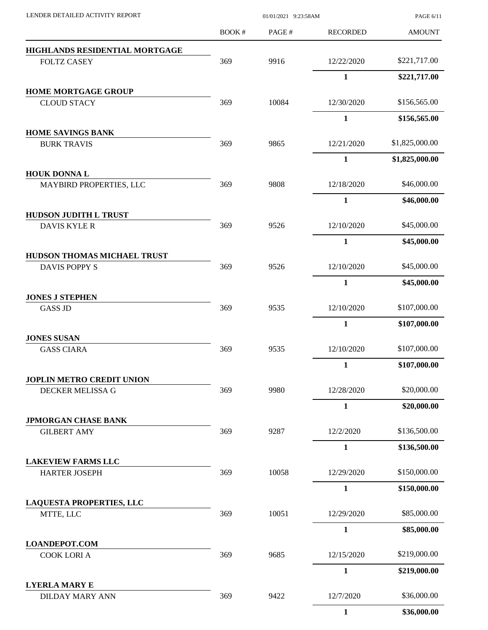| LENDER DETAILED ACTIVITY REPORT                   |       | PAGE 6/11 |                 |                |
|---------------------------------------------------|-------|-----------|-----------------|----------------|
|                                                   | BOOK# | PAGE#     | <b>RECORDED</b> | <b>AMOUNT</b>  |
| HIGHLANDS RESIDENTIAL MORTGAGE                    |       |           |                 |                |
| <b>FOLTZ CASEY</b>                                | 369   | 9916      | 12/22/2020      | \$221,717.00   |
|                                                   |       |           | $\mathbf{1}$    | \$221,717.00   |
| <b>HOME MORTGAGE GROUP</b>                        |       |           |                 |                |
| <b>CLOUD STACY</b>                                | 369   | 10084     | 12/30/2020      | \$156,565.00   |
|                                                   |       |           | $\mathbf{1}$    | \$156,565.00   |
| <b>HOME SAVINGS BANK</b><br><b>BURK TRAVIS</b>    | 369   | 9865      | 12/21/2020      | \$1,825,000.00 |
|                                                   |       |           | $\mathbf{1}$    | \$1,825,000.00 |
| <b>HOUK DONNAL</b>                                |       |           |                 |                |
| MAYBIRD PROPERTIES, LLC                           | 369   | 9808      | 12/18/2020      | \$46,000.00    |
|                                                   |       |           | $\mathbf{1}$    | \$46,000.00    |
| <b>HUDSON JUDITH L TRUST</b>                      |       |           |                 |                |
| <b>DAVIS KYLE R</b>                               | 369   | 9526      | 12/10/2020      | \$45,000.00    |
| HUDSON THOMAS MICHAEL TRUST                       |       |           | $\mathbf{1}$    | \$45,000.00    |
| DAVIS POPPY S                                     | 369   | 9526      | 12/10/2020      | \$45,000.00    |
|                                                   |       |           | $\mathbf{1}$    | \$45,000.00    |
| <b>JONES J STEPHEN</b>                            |       |           |                 |                |
| <b>GASS JD</b>                                    | 369   | 9535      | 12/10/2020      | \$107,000.00   |
|                                                   |       |           | $\mathbf{1}$    | \$107,000.00   |
| <b>JONES SUSAN</b><br><b>GASS CIARA</b>           | 369   | 9535      | 12/10/2020      | \$107,000.00   |
|                                                   |       |           | $\mathbf{1}$    | \$107,000.00   |
| JOPLIN METRO CREDIT UNION                         |       |           |                 |                |
| DECKER MELISSA G                                  | 369   | 9980      | 12/28/2020      | \$20,000.00    |
|                                                   |       |           | $\mathbf{1}$    | \$20,000.00    |
| <b>JPMORGAN CHASE BANK</b>                        |       |           |                 |                |
| <b>GILBERT AMY</b>                                | 369   | 9287      | 12/2/2020       | \$136,500.00   |
|                                                   |       |           | $\mathbf{1}$    | \$136,500.00   |
| <b>LAKEVIEW FARMS LLC</b><br><b>HARTER JOSEPH</b> | 369   | 10058     | 12/29/2020      | \$150,000.00   |
|                                                   |       |           | $\mathbf{1}$    | \$150,000.00   |
| <b>LAQUESTA PROPERTIES, LLC</b>                   |       |           |                 |                |
| MTTE, LLC                                         | 369   | 10051     | 12/29/2020      | \$85,000.00    |
|                                                   |       |           | $\mathbf{1}$    | \$85,000.00    |
| <b>LOANDEPOT.COM</b><br><b>COOK LORI A</b>        | 369   | 9685      | 12/15/2020      | \$219,000.00   |
|                                                   |       |           | $\mathbf{1}$    |                |
| <b>LYERLA MARY E</b>                              |       |           |                 | \$219,000.00   |
| <b>DILDAY MARY ANN</b>                            | 369   | 9422      | 12/7/2020       | \$36,000.00    |
|                                                   |       |           | $\mathbf{1}$    | \$36,000.00    |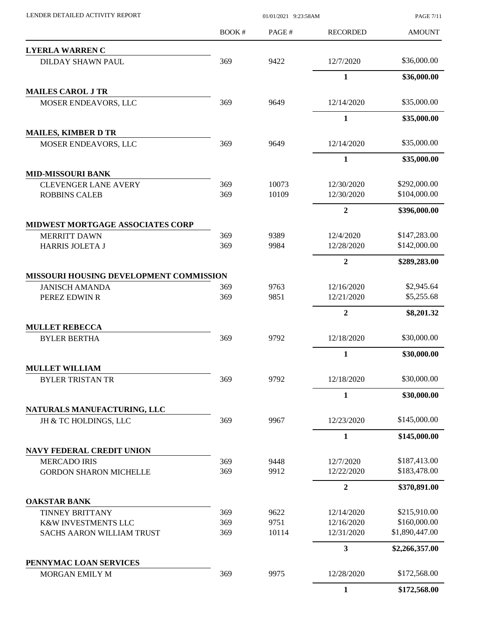| BOOK#<br>PAGE#<br><b>RECORDED</b><br><b>AMOUNT</b><br>\$36,000.00<br>369<br>9422<br>12/7/2020<br><b>DILDAY SHAWN PAUL</b><br>$\mathbf{1}$<br>\$36,000.00<br>369<br>\$35,000.00<br>12/14/2020<br>9649<br>MOSER ENDEAVORS, LLC<br>$\mathbf{1}$<br>\$35,000.00<br>\$35,000.00<br>369<br>9649<br>12/14/2020<br>MOSER ENDEAVORS, LLC<br>\$35,000.00<br>1<br>\$292,000.00<br>10073<br><b>CLEVENGER LANE AVERY</b><br>369<br>12/30/2020<br>369<br>10109<br>\$104,000.00<br>12/30/2020<br><b>ROBBINS CALEB</b><br>$\overline{2}$<br>\$396,000.00<br>\$147,283.00<br>12/4/2020<br>369<br>9389<br><b>MERRITT DAWN</b><br>\$142,000.00<br>369<br>9984<br>12/28/2020<br>HARRIS JOLETA J<br>$\boldsymbol{2}$<br>\$289,283.00<br>MISSOURI HOUSING DEVELOPMENT COMMISSION<br>\$2,945.64<br>9763<br>12/16/2020<br><b>JANISCH AMANDA</b><br>369<br>\$5,255.68<br>369<br>9851<br>12/21/2020<br>PEREZ EDWIN R<br>$\boldsymbol{2}$<br>\$8,201.32<br>\$30,000.00<br>12/18/2020<br>369<br>9792<br><b>BYLER BERTHA</b><br>$\mathbf{1}$<br>\$30,000.00<br>\$30,000.00<br>369<br>9792<br>12/18/2020<br><b>BYLER TRISTAN TR</b><br>$\mathbf{1}$<br>\$30,000.00<br>NATURALS MANUFACTURING, LLC<br>\$145,000.00<br>369<br>9967<br>12/23/2020<br>JH & TC HOLDINGS, LLC<br>1<br>\$145,000.00<br><b>NAVY FEDERAL CREDIT UNION</b><br>\$187,413.00<br><b>MERCADO IRIS</b><br>369<br>12/7/2020<br>9448<br>9912<br>\$183,478.00<br>369<br>12/22/2020<br><b>GORDON SHARON MICHELLE</b><br>$\overline{2}$<br>\$370,891.00<br><b>OAKSTAR BANK</b><br>\$215,910.00<br>9622<br>12/14/2020<br>369<br><b>TINNEY BRITTANY</b><br>9751<br>\$160,000.00<br>369<br>12/16/2020<br>K&W INVESTMENTS LLC<br>10114<br>\$1,890,447.00<br>369<br>12/31/2020<br><b>SACHS AARON WILLIAM TRUST</b><br>3<br>\$2,266,357.00<br>PENNYMAC LOAN SERVICES<br>369<br>9975<br>12/28/2020<br>\$172,568.00<br>MORGAN EMILY M<br>$\mathbf{1}$<br>\$172,568.00 | LENDER DETAILED ACTIVITY REPORT         | 01/01/2021 9:23:58AM |  |  |  |
|---------------------------------------------------------------------------------------------------------------------------------------------------------------------------------------------------------------------------------------------------------------------------------------------------------------------------------------------------------------------------------------------------------------------------------------------------------------------------------------------------------------------------------------------------------------------------------------------------------------------------------------------------------------------------------------------------------------------------------------------------------------------------------------------------------------------------------------------------------------------------------------------------------------------------------------------------------------------------------------------------------------------------------------------------------------------------------------------------------------------------------------------------------------------------------------------------------------------------------------------------------------------------------------------------------------------------------------------------------------------------------------------------------------------------------------------------------------------------------------------------------------------------------------------------------------------------------------------------------------------------------------------------------------------------------------------------------------------------------------------------------------------------------------------------------------------------------------------------------------------------------------------|-----------------------------------------|----------------------|--|--|--|
|                                                                                                                                                                                                                                                                                                                                                                                                                                                                                                                                                                                                                                                                                                                                                                                                                                                                                                                                                                                                                                                                                                                                                                                                                                                                                                                                                                                                                                                                                                                                                                                                                                                                                                                                                                                                                                                                                             |                                         |                      |  |  |  |
|                                                                                                                                                                                                                                                                                                                                                                                                                                                                                                                                                                                                                                                                                                                                                                                                                                                                                                                                                                                                                                                                                                                                                                                                                                                                                                                                                                                                                                                                                                                                                                                                                                                                                                                                                                                                                                                                                             | <b>LYERLA WARREN C</b>                  |                      |  |  |  |
|                                                                                                                                                                                                                                                                                                                                                                                                                                                                                                                                                                                                                                                                                                                                                                                                                                                                                                                                                                                                                                                                                                                                                                                                                                                                                                                                                                                                                                                                                                                                                                                                                                                                                                                                                                                                                                                                                             |                                         |                      |  |  |  |
|                                                                                                                                                                                                                                                                                                                                                                                                                                                                                                                                                                                                                                                                                                                                                                                                                                                                                                                                                                                                                                                                                                                                                                                                                                                                                                                                                                                                                                                                                                                                                                                                                                                                                                                                                                                                                                                                                             |                                         |                      |  |  |  |
|                                                                                                                                                                                                                                                                                                                                                                                                                                                                                                                                                                                                                                                                                                                                                                                                                                                                                                                                                                                                                                                                                                                                                                                                                                                                                                                                                                                                                                                                                                                                                                                                                                                                                                                                                                                                                                                                                             | <b>MAILES CAROL J TR</b>                |                      |  |  |  |
|                                                                                                                                                                                                                                                                                                                                                                                                                                                                                                                                                                                                                                                                                                                                                                                                                                                                                                                                                                                                                                                                                                                                                                                                                                                                                                                                                                                                                                                                                                                                                                                                                                                                                                                                                                                                                                                                                             |                                         |                      |  |  |  |
|                                                                                                                                                                                                                                                                                                                                                                                                                                                                                                                                                                                                                                                                                                                                                                                                                                                                                                                                                                                                                                                                                                                                                                                                                                                                                                                                                                                                                                                                                                                                                                                                                                                                                                                                                                                                                                                                                             |                                         |                      |  |  |  |
|                                                                                                                                                                                                                                                                                                                                                                                                                                                                                                                                                                                                                                                                                                                                                                                                                                                                                                                                                                                                                                                                                                                                                                                                                                                                                                                                                                                                                                                                                                                                                                                                                                                                                                                                                                                                                                                                                             | <b>MAILES, KIMBER D TR</b>              |                      |  |  |  |
|                                                                                                                                                                                                                                                                                                                                                                                                                                                                                                                                                                                                                                                                                                                                                                                                                                                                                                                                                                                                                                                                                                                                                                                                                                                                                                                                                                                                                                                                                                                                                                                                                                                                                                                                                                                                                                                                                             |                                         |                      |  |  |  |
|                                                                                                                                                                                                                                                                                                                                                                                                                                                                                                                                                                                                                                                                                                                                                                                                                                                                                                                                                                                                                                                                                                                                                                                                                                                                                                                                                                                                                                                                                                                                                                                                                                                                                                                                                                                                                                                                                             |                                         |                      |  |  |  |
|                                                                                                                                                                                                                                                                                                                                                                                                                                                                                                                                                                                                                                                                                                                                                                                                                                                                                                                                                                                                                                                                                                                                                                                                                                                                                                                                                                                                                                                                                                                                                                                                                                                                                                                                                                                                                                                                                             | <b>MID-MISSOURI BANK</b>                |                      |  |  |  |
|                                                                                                                                                                                                                                                                                                                                                                                                                                                                                                                                                                                                                                                                                                                                                                                                                                                                                                                                                                                                                                                                                                                                                                                                                                                                                                                                                                                                                                                                                                                                                                                                                                                                                                                                                                                                                                                                                             |                                         |                      |  |  |  |
|                                                                                                                                                                                                                                                                                                                                                                                                                                                                                                                                                                                                                                                                                                                                                                                                                                                                                                                                                                                                                                                                                                                                                                                                                                                                                                                                                                                                                                                                                                                                                                                                                                                                                                                                                                                                                                                                                             |                                         |                      |  |  |  |
|                                                                                                                                                                                                                                                                                                                                                                                                                                                                                                                                                                                                                                                                                                                                                                                                                                                                                                                                                                                                                                                                                                                                                                                                                                                                                                                                                                                                                                                                                                                                                                                                                                                                                                                                                                                                                                                                                             |                                         |                      |  |  |  |
|                                                                                                                                                                                                                                                                                                                                                                                                                                                                                                                                                                                                                                                                                                                                                                                                                                                                                                                                                                                                                                                                                                                                                                                                                                                                                                                                                                                                                                                                                                                                                                                                                                                                                                                                                                                                                                                                                             | <b>MIDWEST MORTGAGE ASSOCIATES CORP</b> |                      |  |  |  |
|                                                                                                                                                                                                                                                                                                                                                                                                                                                                                                                                                                                                                                                                                                                                                                                                                                                                                                                                                                                                                                                                                                                                                                                                                                                                                                                                                                                                                                                                                                                                                                                                                                                                                                                                                                                                                                                                                             |                                         |                      |  |  |  |
|                                                                                                                                                                                                                                                                                                                                                                                                                                                                                                                                                                                                                                                                                                                                                                                                                                                                                                                                                                                                                                                                                                                                                                                                                                                                                                                                                                                                                                                                                                                                                                                                                                                                                                                                                                                                                                                                                             |                                         |                      |  |  |  |
|                                                                                                                                                                                                                                                                                                                                                                                                                                                                                                                                                                                                                                                                                                                                                                                                                                                                                                                                                                                                                                                                                                                                                                                                                                                                                                                                                                                                                                                                                                                                                                                                                                                                                                                                                                                                                                                                                             |                                         |                      |  |  |  |
|                                                                                                                                                                                                                                                                                                                                                                                                                                                                                                                                                                                                                                                                                                                                                                                                                                                                                                                                                                                                                                                                                                                                                                                                                                                                                                                                                                                                                                                                                                                                                                                                                                                                                                                                                                                                                                                                                             |                                         |                      |  |  |  |
|                                                                                                                                                                                                                                                                                                                                                                                                                                                                                                                                                                                                                                                                                                                                                                                                                                                                                                                                                                                                                                                                                                                                                                                                                                                                                                                                                                                                                                                                                                                                                                                                                                                                                                                                                                                                                                                                                             |                                         |                      |  |  |  |
|                                                                                                                                                                                                                                                                                                                                                                                                                                                                                                                                                                                                                                                                                                                                                                                                                                                                                                                                                                                                                                                                                                                                                                                                                                                                                                                                                                                                                                                                                                                                                                                                                                                                                                                                                                                                                                                                                             |                                         |                      |  |  |  |
|                                                                                                                                                                                                                                                                                                                                                                                                                                                                                                                                                                                                                                                                                                                                                                                                                                                                                                                                                                                                                                                                                                                                                                                                                                                                                                                                                                                                                                                                                                                                                                                                                                                                                                                                                                                                                                                                                             |                                         |                      |  |  |  |
|                                                                                                                                                                                                                                                                                                                                                                                                                                                                                                                                                                                                                                                                                                                                                                                                                                                                                                                                                                                                                                                                                                                                                                                                                                                                                                                                                                                                                                                                                                                                                                                                                                                                                                                                                                                                                                                                                             | <b>MULLET REBECCA</b>                   |                      |  |  |  |
|                                                                                                                                                                                                                                                                                                                                                                                                                                                                                                                                                                                                                                                                                                                                                                                                                                                                                                                                                                                                                                                                                                                                                                                                                                                                                                                                                                                                                                                                                                                                                                                                                                                                                                                                                                                                                                                                                             |                                         |                      |  |  |  |
|                                                                                                                                                                                                                                                                                                                                                                                                                                                                                                                                                                                                                                                                                                                                                                                                                                                                                                                                                                                                                                                                                                                                                                                                                                                                                                                                                                                                                                                                                                                                                                                                                                                                                                                                                                                                                                                                                             |                                         |                      |  |  |  |
|                                                                                                                                                                                                                                                                                                                                                                                                                                                                                                                                                                                                                                                                                                                                                                                                                                                                                                                                                                                                                                                                                                                                                                                                                                                                                                                                                                                                                                                                                                                                                                                                                                                                                                                                                                                                                                                                                             | <b>MULLET WILLIAM</b>                   |                      |  |  |  |
|                                                                                                                                                                                                                                                                                                                                                                                                                                                                                                                                                                                                                                                                                                                                                                                                                                                                                                                                                                                                                                                                                                                                                                                                                                                                                                                                                                                                                                                                                                                                                                                                                                                                                                                                                                                                                                                                                             |                                         |                      |  |  |  |
|                                                                                                                                                                                                                                                                                                                                                                                                                                                                                                                                                                                                                                                                                                                                                                                                                                                                                                                                                                                                                                                                                                                                                                                                                                                                                                                                                                                                                                                                                                                                                                                                                                                                                                                                                                                                                                                                                             |                                         |                      |  |  |  |
|                                                                                                                                                                                                                                                                                                                                                                                                                                                                                                                                                                                                                                                                                                                                                                                                                                                                                                                                                                                                                                                                                                                                                                                                                                                                                                                                                                                                                                                                                                                                                                                                                                                                                                                                                                                                                                                                                             |                                         |                      |  |  |  |
|                                                                                                                                                                                                                                                                                                                                                                                                                                                                                                                                                                                                                                                                                                                                                                                                                                                                                                                                                                                                                                                                                                                                                                                                                                                                                                                                                                                                                                                                                                                                                                                                                                                                                                                                                                                                                                                                                             |                                         |                      |  |  |  |
|                                                                                                                                                                                                                                                                                                                                                                                                                                                                                                                                                                                                                                                                                                                                                                                                                                                                                                                                                                                                                                                                                                                                                                                                                                                                                                                                                                                                                                                                                                                                                                                                                                                                                                                                                                                                                                                                                             |                                         |                      |  |  |  |
|                                                                                                                                                                                                                                                                                                                                                                                                                                                                                                                                                                                                                                                                                                                                                                                                                                                                                                                                                                                                                                                                                                                                                                                                                                                                                                                                                                                                                                                                                                                                                                                                                                                                                                                                                                                                                                                                                             |                                         |                      |  |  |  |
|                                                                                                                                                                                                                                                                                                                                                                                                                                                                                                                                                                                                                                                                                                                                                                                                                                                                                                                                                                                                                                                                                                                                                                                                                                                                                                                                                                                                                                                                                                                                                                                                                                                                                                                                                                                                                                                                                             |                                         |                      |  |  |  |
|                                                                                                                                                                                                                                                                                                                                                                                                                                                                                                                                                                                                                                                                                                                                                                                                                                                                                                                                                                                                                                                                                                                                                                                                                                                                                                                                                                                                                                                                                                                                                                                                                                                                                                                                                                                                                                                                                             |                                         |                      |  |  |  |
|                                                                                                                                                                                                                                                                                                                                                                                                                                                                                                                                                                                                                                                                                                                                                                                                                                                                                                                                                                                                                                                                                                                                                                                                                                                                                                                                                                                                                                                                                                                                                                                                                                                                                                                                                                                                                                                                                             |                                         |                      |  |  |  |
|                                                                                                                                                                                                                                                                                                                                                                                                                                                                                                                                                                                                                                                                                                                                                                                                                                                                                                                                                                                                                                                                                                                                                                                                                                                                                                                                                                                                                                                                                                                                                                                                                                                                                                                                                                                                                                                                                             |                                         |                      |  |  |  |
|                                                                                                                                                                                                                                                                                                                                                                                                                                                                                                                                                                                                                                                                                                                                                                                                                                                                                                                                                                                                                                                                                                                                                                                                                                                                                                                                                                                                                                                                                                                                                                                                                                                                                                                                                                                                                                                                                             |                                         |                      |  |  |  |
|                                                                                                                                                                                                                                                                                                                                                                                                                                                                                                                                                                                                                                                                                                                                                                                                                                                                                                                                                                                                                                                                                                                                                                                                                                                                                                                                                                                                                                                                                                                                                                                                                                                                                                                                                                                                                                                                                             |                                         |                      |  |  |  |
|                                                                                                                                                                                                                                                                                                                                                                                                                                                                                                                                                                                                                                                                                                                                                                                                                                                                                                                                                                                                                                                                                                                                                                                                                                                                                                                                                                                                                                                                                                                                                                                                                                                                                                                                                                                                                                                                                             |                                         |                      |  |  |  |
|                                                                                                                                                                                                                                                                                                                                                                                                                                                                                                                                                                                                                                                                                                                                                                                                                                                                                                                                                                                                                                                                                                                                                                                                                                                                                                                                                                                                                                                                                                                                                                                                                                                                                                                                                                                                                                                                                             |                                         |                      |  |  |  |
|                                                                                                                                                                                                                                                                                                                                                                                                                                                                                                                                                                                                                                                                                                                                                                                                                                                                                                                                                                                                                                                                                                                                                                                                                                                                                                                                                                                                                                                                                                                                                                                                                                                                                                                                                                                                                                                                                             |                                         |                      |  |  |  |
|                                                                                                                                                                                                                                                                                                                                                                                                                                                                                                                                                                                                                                                                                                                                                                                                                                                                                                                                                                                                                                                                                                                                                                                                                                                                                                                                                                                                                                                                                                                                                                                                                                                                                                                                                                                                                                                                                             |                                         |                      |  |  |  |
|                                                                                                                                                                                                                                                                                                                                                                                                                                                                                                                                                                                                                                                                                                                                                                                                                                                                                                                                                                                                                                                                                                                                                                                                                                                                                                                                                                                                                                                                                                                                                                                                                                                                                                                                                                                                                                                                                             |                                         |                      |  |  |  |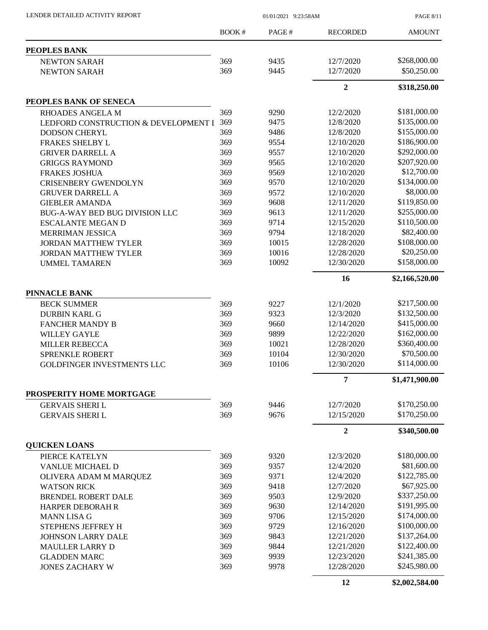| LENDER DETAILED ACTIVITY REPORT      | 01/01/2021 9:23:58AM |       |                 | <b>PAGE 8/11</b> |
|--------------------------------------|----------------------|-------|-----------------|------------------|
|                                      | <b>BOOK#</b>         | PAGE# | <b>RECORDED</b> | <b>AMOUNT</b>    |
| <b>PEOPLES BANK</b>                  |                      |       |                 |                  |
| <b>NEWTON SARAH</b>                  | 369                  | 9435  | 12/7/2020       | \$268,000.00     |
| <b>NEWTON SARAH</b>                  | 369                  | 9445  | 12/7/2020       | \$50,250.00      |
|                                      |                      |       | $\overline{2}$  | \$318,250.00     |
| PEOPLES BANK OF SENECA               |                      |       |                 |                  |
| <b>RHOADES ANGELA M</b>              | 369                  | 9290  | 12/2/2020       | \$181,000.00     |
| LEDFORD CONSTRUCTION & DEVELOPMENT I | 369                  | 9475  | 12/8/2020       | \$135,000.00     |
| <b>DODSON CHERYL</b>                 | 369                  | 9486  | 12/8/2020       | \$155,000.00     |
| FRAKES SHELBY L                      | 369                  | 9554  | 12/10/2020      | \$186,900.00     |
| <b>GRIVER DARRELL A</b>              | 369                  | 9557  | 12/10/2020      | \$292,000.00     |
| <b>GRIGGS RAYMOND</b>                | 369                  | 9565  | 12/10/2020      | \$207,920.00     |
| <b>FRAKES JOSHUA</b>                 | 369                  | 9569  | 12/10/2020      | \$12,700.00      |
| <b>CRISENBERY GWENDOLYN</b>          | 369                  | 9570  | 12/10/2020      | \$134,000.00     |
| <b>GRUVER DARRELL A</b>              | 369                  | 9572  | 12/10/2020      | \$8,000.00       |
| <b>GIEBLER AMANDA</b>                | 369                  | 9608  | 12/11/2020      | \$119,850.00     |
| BUG-A-WAY BED BUG DIVISION LLC       | 369                  | 9613  | 12/11/2020      | \$255,000.00     |
| <b>ESCALANTE MEGAN D</b>             | 369                  | 9714  | 12/15/2020      | \$110,500.00     |
| MERRIMAN JESSICA                     | 369                  | 9794  | 12/18/2020      | \$82,400.00      |
| <b>JORDAN MATTHEW TYLER</b>          | 369                  | 10015 | 12/28/2020      | \$108,000.00     |
| <b>JORDAN MATTHEW TYLER</b>          | 369                  | 10016 | 12/28/2020      | \$20,250.00      |
| <b>UMMEL TAMAREN</b>                 | 369                  | 10092 | 12/30/2020      | \$158,000.00     |
|                                      |                      |       | 16              | \$2,166,520.00   |
| PINNACLE BANK                        |                      |       |                 |                  |
| <b>BECK SUMMER</b>                   | 369                  | 9227  | 12/1/2020       | \$217,500.00     |
| <b>DURBIN KARL G</b>                 | 369                  | 9323  | 12/3/2020       | \$132,500.00     |
| <b>FANCHER MANDY B</b>               | 369                  | 9660  | 12/14/2020      | \$415,000.00     |
| <b>WILLEY GAYLE</b>                  | 369                  | 9899  | 12/22/2020      | \$162,000.00     |
| <b>MILLER REBECCA</b>                | 369                  | 10021 | 12/28/2020      | \$360,400.00     |
| <b>SPRENKLE ROBERT</b>               | 369                  | 10104 | 12/30/2020      | \$70,500.00      |
| GOLDFINGER INVESTMENTS LLC           | 369                  | 10106 | 12/30/2020      | \$114,000.00     |
|                                      |                      |       | 7               | \$1,471,900.00   |
| PROSPERITY HOME MORTGAGE             |                      |       |                 |                  |
| <b>GERVAIS SHERIL</b>                | 369                  | 9446  | 12/7/2020       | \$170,250.00     |
| <b>GERVAIS SHERIL</b>                | 369                  | 9676  | 12/15/2020      | \$170,250.00     |
|                                      |                      |       | $\overline{2}$  | \$340,500.00     |
| <b>QUICKEN LOANS</b>                 |                      |       |                 |                  |
| PIERCE KATELYN                       | 369                  | 9320  | 12/3/2020       | \$180,000.00     |
| VANLUE MICHAEL D                     | 369                  | 9357  | 12/4/2020       | \$81,600.00      |
| OLIVERA ADAM M MARQUEZ               | 369                  | 9371  | 12/4/2020       | \$122,785.00     |
| <b>WATSON RICK</b>                   | 369                  | 9418  | 12/7/2020       | \$67,925.00      |
| <b>BRENDEL ROBERT DALE</b>           | 369                  | 9503  | 12/9/2020       | \$337,250.00     |
| <b>HARPER DEBORAH R</b>              | 369                  | 9630  | 12/14/2020      | \$191,995.00     |
| <b>MANN LISA G</b>                   | 369                  | 9706  | 12/15/2020      | \$174,000.00     |
| STEPHENS JEFFREY H                   | 369                  | 9729  | 12/16/2020      | \$100,000.00     |
| <b>JOHNSON LARRY DALE</b>            | 369                  | 9843  | 12/21/2020      | \$137,264.00     |
| <b>MAULLER LARRY D</b>               | 369                  | 9844  | 12/21/2020      | \$122,400.00     |
| <b>GLADDEN MARC</b>                  | 369                  | 9939  | 12/23/2020      | \$241,385.00     |
| <b>JONES ZACHARY W</b>               | 369                  | 9978  | 12/28/2020      | \$245,980.00     |
|                                      |                      |       | 12              | \$2,002,584.00   |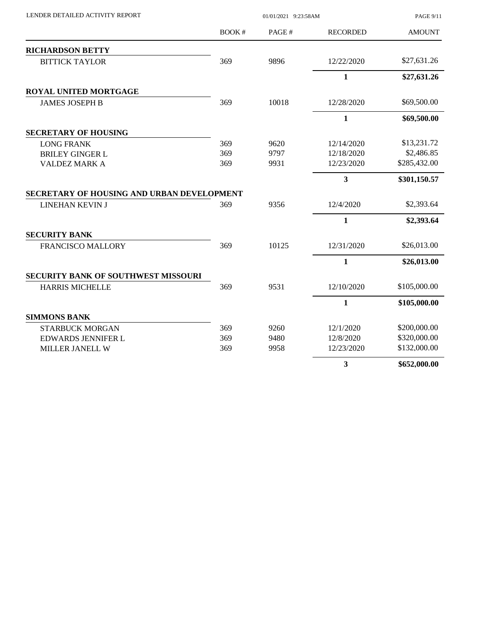| LENDER DETAILED ACTIVITY REPORT            |       | <b>PAGE 9/11</b> |                 |               |
|--------------------------------------------|-------|------------------|-----------------|---------------|
|                                            | BOOK# | PAGE#            | <b>RECORDED</b> | <b>AMOUNT</b> |
| <b>RICHARDSON BETTY</b>                    |       |                  |                 |               |
| <b>BITTICK TAYLOR</b>                      | 369   | 9896             | 12/22/2020      | \$27,631.26   |
|                                            |       |                  | $\mathbf{1}$    | \$27,631.26   |
| <b>ROYAL UNITED MORTGAGE</b>               |       |                  |                 |               |
| <b>JAMES JOSEPH B</b>                      | 369   | 10018            | 12/28/2020      | \$69,500.00   |
|                                            |       |                  | $\mathbf{1}$    | \$69,500.00   |
| <b>SECRETARY OF HOUSING</b>                |       |                  |                 |               |
| <b>LONG FRANK</b>                          | 369   | 9620             | 12/14/2020      | \$13,231.72   |
| <b>BRILEY GINGER L</b>                     | 369   | 9797             | 12/18/2020      | \$2,486.85    |
| <b>VALDEZ MARK A</b>                       | 369   | 9931             | 12/23/2020      | \$285,432.00  |
|                                            |       |                  | 3               | \$301,150.57  |
| SECRETARY OF HOUSING AND URBAN DEVELOPMENT |       |                  |                 |               |
| LINEHAN KEVIN J                            | 369   | 9356             | 12/4/2020       | \$2,393.64    |
|                                            |       |                  | $\mathbf{1}$    | \$2,393.64    |
| <b>SECURITY BANK</b>                       |       |                  |                 |               |
| <b>FRANCISCO MALLORY</b>                   | 369   | 10125            | 12/31/2020      | \$26,013.00   |
|                                            |       |                  | 1               | \$26,013.00   |
| <b>SECURITY BANK OF SOUTHWEST MISSOURI</b> |       |                  |                 |               |
| <b>HARRIS MICHELLE</b>                     | 369   | 9531             | 12/10/2020      | \$105,000.00  |
|                                            |       |                  | $\mathbf{1}$    | \$105,000.00  |
| <b>SIMMONS BANK</b>                        |       |                  |                 |               |
| <b>STARBUCK MORGAN</b>                     | 369   | 9260             | 12/1/2020       | \$200,000.00  |
| <b>EDWARDS JENNIFER L</b>                  | 369   | 9480             | 12/8/2020       | \$320,000.00  |
| MILLER JANELL W                            | 369   | 9958             | 12/23/2020      | \$132,000.00  |
|                                            |       |                  | 3               | \$652,000.00  |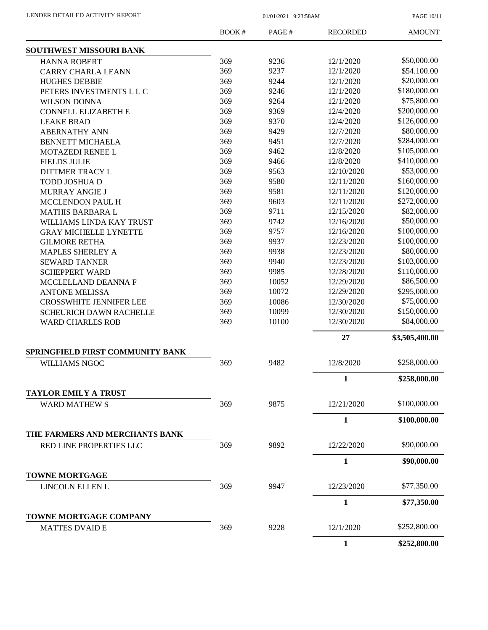| LENDER DETAILED ACTIVITY REPORT |  |
|---------------------------------|--|
|                                 |  |

 $01/01/2021$  9:23:58AM

PAGE 10/11

| SOUTHWEST MISSOURI BANK<br>\$50,000.00<br>369<br>9236<br>12/1/2020<br><b>HANNA ROBERT</b><br>\$54,100.00<br>369<br>9237<br>12/1/2020<br><b>CARRY CHARLA LEANN</b><br>\$20,000.00<br>369<br>9244<br>12/1/2020<br><b>HUGHES DEBBIE</b><br>\$180,000.00<br>369<br>9246<br>12/1/2020<br>PETERS INVESTMENTS L L C<br>\$75,800.00<br>369<br>9264<br>12/1/2020<br><b>WILSON DONNA</b><br>369<br>9369<br>12/4/2020<br>\$200,000.00<br><b>CONNELL ELIZABETH E</b><br>369<br>\$126,000.00<br>9370<br>12/4/2020<br><b>LEAKE BRAD</b><br>369<br>\$80,000.00<br>9429<br>12/7/2020<br><b>ABERNATHY ANN</b><br>\$284,000.00<br>369<br>9451<br>12/7/2020<br><b>BENNETT MICHAELA</b><br>369<br>\$105,000.00<br>9462<br>12/8/2020<br><b>MOTAZEDI RENEE L</b><br>\$410,000.00<br>369<br>9466<br>12/8/2020<br><b>FIELDS JULIE</b><br>\$53,000.00<br>9563<br>369<br>12/10/2020<br>DITTMER TRACY L<br>\$160,000.00<br>369<br>9580<br>12/11/2020<br><b>TODD JOSHUA D</b><br>\$120,000.00<br>369<br>9581<br>12/11/2020<br><b>MURRAY ANGIE J</b><br>\$272,000.00<br>369<br>9603<br>12/11/2020<br>MCCLENDON PAUL H<br>369<br>9711<br>12/15/2020<br>\$82,000.00<br><b>MATHIS BARBARA L</b><br>\$50,000.00<br>369<br>9742<br>12/16/2020<br>WILLIAMS LINDA KAY TRUST<br>369<br>\$100,000.00<br>9757<br>12/16/2020<br><b>GRAY MICHELLE LYNETTE</b><br>\$100,000.00<br>369<br>9937<br>12/23/2020<br><b>GILMORE RETHA</b><br>\$80,000.00<br>369<br>9938<br>12/23/2020<br><b>MAPLES SHERLEY A</b><br>\$103,000.00<br>369<br>9940<br>12/23/2020<br><b>SEWARD TANNER</b><br>369<br>\$110,000.00<br>9985<br>12/28/2020<br><b>SCHEPPERT WARD</b><br>\$86,500.00<br>369<br>10052<br>12/29/2020<br>MCCLELLAND DEANNA F<br>\$295,000.00<br>369<br>10072<br>12/29/2020<br><b>ANTONE MELISSA</b><br>\$75,000.00<br>369<br>10086<br><b>CROSSWHITE JENNIFER LEE</b><br>12/30/2020<br>369<br>10099<br>12/30/2020<br>\$150,000.00<br><b>SCHEURICH DAWN RACHELLE</b><br>10100<br>\$84,000.00<br>369<br>12/30/2020<br><b>WARD CHARLES ROB</b><br>27<br>\$3,505,400.00<br>SPRINGFIELD FIRST COMMUNITY BANK<br>\$258,000.00<br>9482<br>12/8/2020<br><b>WILLIAMS NGOC</b><br>369<br>1<br>\$258,000.00<br><b>TAYLOR EMILY A TRUST</b><br>\$100,000.00<br>9875<br>369<br>12/21/2020<br><b>WARD MATHEW S</b><br>$\mathbf{1}$<br>\$100,000.00<br>THE FARMERS AND MERCHANTS BANK<br>9892<br>\$90,000.00<br>369<br>12/22/2020<br>RED LINE PROPERTIES LLC<br>$\mathbf{1}$<br>\$90,000.00<br><b>TOWNE MORTGAGE</b><br>369<br>9947<br>\$77,350.00<br>12/23/2020<br>LINCOLN ELLEN L<br>1<br>\$77,350.00<br>TOWNE MORTGAGE COMPANY<br>\$252,800.00<br>9228<br>369<br>12/1/2020<br><b>MATTES DVAID E</b> | BOOK# | PAGE# | <b>RECORDED</b> | <b>AMOUNT</b> |
|-------------------------------------------------------------------------------------------------------------------------------------------------------------------------------------------------------------------------------------------------------------------------------------------------------------------------------------------------------------------------------------------------------------------------------------------------------------------------------------------------------------------------------------------------------------------------------------------------------------------------------------------------------------------------------------------------------------------------------------------------------------------------------------------------------------------------------------------------------------------------------------------------------------------------------------------------------------------------------------------------------------------------------------------------------------------------------------------------------------------------------------------------------------------------------------------------------------------------------------------------------------------------------------------------------------------------------------------------------------------------------------------------------------------------------------------------------------------------------------------------------------------------------------------------------------------------------------------------------------------------------------------------------------------------------------------------------------------------------------------------------------------------------------------------------------------------------------------------------------------------------------------------------------------------------------------------------------------------------------------------------------------------------------------------------------------------------------------------------------------------------------------------------------------------------------------------------------------------------------------------------------------------------------------------------------------------------------------------------------------------------------------------------------------------------------------------------------------------------------------------------------------------------------------------------------------------------------------------------------------------------------------|-------|-------|-----------------|---------------|
|                                                                                                                                                                                                                                                                                                                                                                                                                                                                                                                                                                                                                                                                                                                                                                                                                                                                                                                                                                                                                                                                                                                                                                                                                                                                                                                                                                                                                                                                                                                                                                                                                                                                                                                                                                                                                                                                                                                                                                                                                                                                                                                                                                                                                                                                                                                                                                                                                                                                                                                                                                                                                                           |       |       |                 |               |
|                                                                                                                                                                                                                                                                                                                                                                                                                                                                                                                                                                                                                                                                                                                                                                                                                                                                                                                                                                                                                                                                                                                                                                                                                                                                                                                                                                                                                                                                                                                                                                                                                                                                                                                                                                                                                                                                                                                                                                                                                                                                                                                                                                                                                                                                                                                                                                                                                                                                                                                                                                                                                                           |       |       |                 |               |
|                                                                                                                                                                                                                                                                                                                                                                                                                                                                                                                                                                                                                                                                                                                                                                                                                                                                                                                                                                                                                                                                                                                                                                                                                                                                                                                                                                                                                                                                                                                                                                                                                                                                                                                                                                                                                                                                                                                                                                                                                                                                                                                                                                                                                                                                                                                                                                                                                                                                                                                                                                                                                                           |       |       |                 |               |
|                                                                                                                                                                                                                                                                                                                                                                                                                                                                                                                                                                                                                                                                                                                                                                                                                                                                                                                                                                                                                                                                                                                                                                                                                                                                                                                                                                                                                                                                                                                                                                                                                                                                                                                                                                                                                                                                                                                                                                                                                                                                                                                                                                                                                                                                                                                                                                                                                                                                                                                                                                                                                                           |       |       |                 |               |
|                                                                                                                                                                                                                                                                                                                                                                                                                                                                                                                                                                                                                                                                                                                                                                                                                                                                                                                                                                                                                                                                                                                                                                                                                                                                                                                                                                                                                                                                                                                                                                                                                                                                                                                                                                                                                                                                                                                                                                                                                                                                                                                                                                                                                                                                                                                                                                                                                                                                                                                                                                                                                                           |       |       |                 |               |
|                                                                                                                                                                                                                                                                                                                                                                                                                                                                                                                                                                                                                                                                                                                                                                                                                                                                                                                                                                                                                                                                                                                                                                                                                                                                                                                                                                                                                                                                                                                                                                                                                                                                                                                                                                                                                                                                                                                                                                                                                                                                                                                                                                                                                                                                                                                                                                                                                                                                                                                                                                                                                                           |       |       |                 |               |
|                                                                                                                                                                                                                                                                                                                                                                                                                                                                                                                                                                                                                                                                                                                                                                                                                                                                                                                                                                                                                                                                                                                                                                                                                                                                                                                                                                                                                                                                                                                                                                                                                                                                                                                                                                                                                                                                                                                                                                                                                                                                                                                                                                                                                                                                                                                                                                                                                                                                                                                                                                                                                                           |       |       |                 |               |
|                                                                                                                                                                                                                                                                                                                                                                                                                                                                                                                                                                                                                                                                                                                                                                                                                                                                                                                                                                                                                                                                                                                                                                                                                                                                                                                                                                                                                                                                                                                                                                                                                                                                                                                                                                                                                                                                                                                                                                                                                                                                                                                                                                                                                                                                                                                                                                                                                                                                                                                                                                                                                                           |       |       |                 |               |
|                                                                                                                                                                                                                                                                                                                                                                                                                                                                                                                                                                                                                                                                                                                                                                                                                                                                                                                                                                                                                                                                                                                                                                                                                                                                                                                                                                                                                                                                                                                                                                                                                                                                                                                                                                                                                                                                                                                                                                                                                                                                                                                                                                                                                                                                                                                                                                                                                                                                                                                                                                                                                                           |       |       |                 |               |
|                                                                                                                                                                                                                                                                                                                                                                                                                                                                                                                                                                                                                                                                                                                                                                                                                                                                                                                                                                                                                                                                                                                                                                                                                                                                                                                                                                                                                                                                                                                                                                                                                                                                                                                                                                                                                                                                                                                                                                                                                                                                                                                                                                                                                                                                                                                                                                                                                                                                                                                                                                                                                                           |       |       |                 |               |
|                                                                                                                                                                                                                                                                                                                                                                                                                                                                                                                                                                                                                                                                                                                                                                                                                                                                                                                                                                                                                                                                                                                                                                                                                                                                                                                                                                                                                                                                                                                                                                                                                                                                                                                                                                                                                                                                                                                                                                                                                                                                                                                                                                                                                                                                                                                                                                                                                                                                                                                                                                                                                                           |       |       |                 |               |
|                                                                                                                                                                                                                                                                                                                                                                                                                                                                                                                                                                                                                                                                                                                                                                                                                                                                                                                                                                                                                                                                                                                                                                                                                                                                                                                                                                                                                                                                                                                                                                                                                                                                                                                                                                                                                                                                                                                                                                                                                                                                                                                                                                                                                                                                                                                                                                                                                                                                                                                                                                                                                                           |       |       |                 |               |
|                                                                                                                                                                                                                                                                                                                                                                                                                                                                                                                                                                                                                                                                                                                                                                                                                                                                                                                                                                                                                                                                                                                                                                                                                                                                                                                                                                                                                                                                                                                                                                                                                                                                                                                                                                                                                                                                                                                                                                                                                                                                                                                                                                                                                                                                                                                                                                                                                                                                                                                                                                                                                                           |       |       |                 |               |
|                                                                                                                                                                                                                                                                                                                                                                                                                                                                                                                                                                                                                                                                                                                                                                                                                                                                                                                                                                                                                                                                                                                                                                                                                                                                                                                                                                                                                                                                                                                                                                                                                                                                                                                                                                                                                                                                                                                                                                                                                                                                                                                                                                                                                                                                                                                                                                                                                                                                                                                                                                                                                                           |       |       |                 |               |
|                                                                                                                                                                                                                                                                                                                                                                                                                                                                                                                                                                                                                                                                                                                                                                                                                                                                                                                                                                                                                                                                                                                                                                                                                                                                                                                                                                                                                                                                                                                                                                                                                                                                                                                                                                                                                                                                                                                                                                                                                                                                                                                                                                                                                                                                                                                                                                                                                                                                                                                                                                                                                                           |       |       |                 |               |
|                                                                                                                                                                                                                                                                                                                                                                                                                                                                                                                                                                                                                                                                                                                                                                                                                                                                                                                                                                                                                                                                                                                                                                                                                                                                                                                                                                                                                                                                                                                                                                                                                                                                                                                                                                                                                                                                                                                                                                                                                                                                                                                                                                                                                                                                                                                                                                                                                                                                                                                                                                                                                                           |       |       |                 |               |
|                                                                                                                                                                                                                                                                                                                                                                                                                                                                                                                                                                                                                                                                                                                                                                                                                                                                                                                                                                                                                                                                                                                                                                                                                                                                                                                                                                                                                                                                                                                                                                                                                                                                                                                                                                                                                                                                                                                                                                                                                                                                                                                                                                                                                                                                                                                                                                                                                                                                                                                                                                                                                                           |       |       |                 |               |
|                                                                                                                                                                                                                                                                                                                                                                                                                                                                                                                                                                                                                                                                                                                                                                                                                                                                                                                                                                                                                                                                                                                                                                                                                                                                                                                                                                                                                                                                                                                                                                                                                                                                                                                                                                                                                                                                                                                                                                                                                                                                                                                                                                                                                                                                                                                                                                                                                                                                                                                                                                                                                                           |       |       |                 |               |
|                                                                                                                                                                                                                                                                                                                                                                                                                                                                                                                                                                                                                                                                                                                                                                                                                                                                                                                                                                                                                                                                                                                                                                                                                                                                                                                                                                                                                                                                                                                                                                                                                                                                                                                                                                                                                                                                                                                                                                                                                                                                                                                                                                                                                                                                                                                                                                                                                                                                                                                                                                                                                                           |       |       |                 |               |
|                                                                                                                                                                                                                                                                                                                                                                                                                                                                                                                                                                                                                                                                                                                                                                                                                                                                                                                                                                                                                                                                                                                                                                                                                                                                                                                                                                                                                                                                                                                                                                                                                                                                                                                                                                                                                                                                                                                                                                                                                                                                                                                                                                                                                                                                                                                                                                                                                                                                                                                                                                                                                                           |       |       |                 |               |
|                                                                                                                                                                                                                                                                                                                                                                                                                                                                                                                                                                                                                                                                                                                                                                                                                                                                                                                                                                                                                                                                                                                                                                                                                                                                                                                                                                                                                                                                                                                                                                                                                                                                                                                                                                                                                                                                                                                                                                                                                                                                                                                                                                                                                                                                                                                                                                                                                                                                                                                                                                                                                                           |       |       |                 |               |
|                                                                                                                                                                                                                                                                                                                                                                                                                                                                                                                                                                                                                                                                                                                                                                                                                                                                                                                                                                                                                                                                                                                                                                                                                                                                                                                                                                                                                                                                                                                                                                                                                                                                                                                                                                                                                                                                                                                                                                                                                                                                                                                                                                                                                                                                                                                                                                                                                                                                                                                                                                                                                                           |       |       |                 |               |
|                                                                                                                                                                                                                                                                                                                                                                                                                                                                                                                                                                                                                                                                                                                                                                                                                                                                                                                                                                                                                                                                                                                                                                                                                                                                                                                                                                                                                                                                                                                                                                                                                                                                                                                                                                                                                                                                                                                                                                                                                                                                                                                                                                                                                                                                                                                                                                                                                                                                                                                                                                                                                                           |       |       |                 |               |
|                                                                                                                                                                                                                                                                                                                                                                                                                                                                                                                                                                                                                                                                                                                                                                                                                                                                                                                                                                                                                                                                                                                                                                                                                                                                                                                                                                                                                                                                                                                                                                                                                                                                                                                                                                                                                                                                                                                                                                                                                                                                                                                                                                                                                                                                                                                                                                                                                                                                                                                                                                                                                                           |       |       |                 |               |
|                                                                                                                                                                                                                                                                                                                                                                                                                                                                                                                                                                                                                                                                                                                                                                                                                                                                                                                                                                                                                                                                                                                                                                                                                                                                                                                                                                                                                                                                                                                                                                                                                                                                                                                                                                                                                                                                                                                                                                                                                                                                                                                                                                                                                                                                                                                                                                                                                                                                                                                                                                                                                                           |       |       |                 |               |
|                                                                                                                                                                                                                                                                                                                                                                                                                                                                                                                                                                                                                                                                                                                                                                                                                                                                                                                                                                                                                                                                                                                                                                                                                                                                                                                                                                                                                                                                                                                                                                                                                                                                                                                                                                                                                                                                                                                                                                                                                                                                                                                                                                                                                                                                                                                                                                                                                                                                                                                                                                                                                                           |       |       |                 |               |
|                                                                                                                                                                                                                                                                                                                                                                                                                                                                                                                                                                                                                                                                                                                                                                                                                                                                                                                                                                                                                                                                                                                                                                                                                                                                                                                                                                                                                                                                                                                                                                                                                                                                                                                                                                                                                                                                                                                                                                                                                                                                                                                                                                                                                                                                                                                                                                                                                                                                                                                                                                                                                                           |       |       |                 |               |
|                                                                                                                                                                                                                                                                                                                                                                                                                                                                                                                                                                                                                                                                                                                                                                                                                                                                                                                                                                                                                                                                                                                                                                                                                                                                                                                                                                                                                                                                                                                                                                                                                                                                                                                                                                                                                                                                                                                                                                                                                                                                                                                                                                                                                                                                                                                                                                                                                                                                                                                                                                                                                                           |       |       |                 |               |
|                                                                                                                                                                                                                                                                                                                                                                                                                                                                                                                                                                                                                                                                                                                                                                                                                                                                                                                                                                                                                                                                                                                                                                                                                                                                                                                                                                                                                                                                                                                                                                                                                                                                                                                                                                                                                                                                                                                                                                                                                                                                                                                                                                                                                                                                                                                                                                                                                                                                                                                                                                                                                                           |       |       |                 |               |
|                                                                                                                                                                                                                                                                                                                                                                                                                                                                                                                                                                                                                                                                                                                                                                                                                                                                                                                                                                                                                                                                                                                                                                                                                                                                                                                                                                                                                                                                                                                                                                                                                                                                                                                                                                                                                                                                                                                                                                                                                                                                                                                                                                                                                                                                                                                                                                                                                                                                                                                                                                                                                                           |       |       |                 |               |
|                                                                                                                                                                                                                                                                                                                                                                                                                                                                                                                                                                                                                                                                                                                                                                                                                                                                                                                                                                                                                                                                                                                                                                                                                                                                                                                                                                                                                                                                                                                                                                                                                                                                                                                                                                                                                                                                                                                                                                                                                                                                                                                                                                                                                                                                                                                                                                                                                                                                                                                                                                                                                                           |       |       |                 |               |
|                                                                                                                                                                                                                                                                                                                                                                                                                                                                                                                                                                                                                                                                                                                                                                                                                                                                                                                                                                                                                                                                                                                                                                                                                                                                                                                                                                                                                                                                                                                                                                                                                                                                                                                                                                                                                                                                                                                                                                                                                                                                                                                                                                                                                                                                                                                                                                                                                                                                                                                                                                                                                                           |       |       |                 |               |
|                                                                                                                                                                                                                                                                                                                                                                                                                                                                                                                                                                                                                                                                                                                                                                                                                                                                                                                                                                                                                                                                                                                                                                                                                                                                                                                                                                                                                                                                                                                                                                                                                                                                                                                                                                                                                                                                                                                                                                                                                                                                                                                                                                                                                                                                                                                                                                                                                                                                                                                                                                                                                                           |       |       |                 |               |
|                                                                                                                                                                                                                                                                                                                                                                                                                                                                                                                                                                                                                                                                                                                                                                                                                                                                                                                                                                                                                                                                                                                                                                                                                                                                                                                                                                                                                                                                                                                                                                                                                                                                                                                                                                                                                                                                                                                                                                                                                                                                                                                                                                                                                                                                                                                                                                                                                                                                                                                                                                                                                                           |       |       |                 |               |
|                                                                                                                                                                                                                                                                                                                                                                                                                                                                                                                                                                                                                                                                                                                                                                                                                                                                                                                                                                                                                                                                                                                                                                                                                                                                                                                                                                                                                                                                                                                                                                                                                                                                                                                                                                                                                                                                                                                                                                                                                                                                                                                                                                                                                                                                                                                                                                                                                                                                                                                                                                                                                                           |       |       |                 |               |
|                                                                                                                                                                                                                                                                                                                                                                                                                                                                                                                                                                                                                                                                                                                                                                                                                                                                                                                                                                                                                                                                                                                                                                                                                                                                                                                                                                                                                                                                                                                                                                                                                                                                                                                                                                                                                                                                                                                                                                                                                                                                                                                                                                                                                                                                                                                                                                                                                                                                                                                                                                                                                                           |       |       |                 |               |
|                                                                                                                                                                                                                                                                                                                                                                                                                                                                                                                                                                                                                                                                                                                                                                                                                                                                                                                                                                                                                                                                                                                                                                                                                                                                                                                                                                                                                                                                                                                                                                                                                                                                                                                                                                                                                                                                                                                                                                                                                                                                                                                                                                                                                                                                                                                                                                                                                                                                                                                                                                                                                                           |       |       |                 |               |
|                                                                                                                                                                                                                                                                                                                                                                                                                                                                                                                                                                                                                                                                                                                                                                                                                                                                                                                                                                                                                                                                                                                                                                                                                                                                                                                                                                                                                                                                                                                                                                                                                                                                                                                                                                                                                                                                                                                                                                                                                                                                                                                                                                                                                                                                                                                                                                                                                                                                                                                                                                                                                                           |       |       |                 |               |
|                                                                                                                                                                                                                                                                                                                                                                                                                                                                                                                                                                                                                                                                                                                                                                                                                                                                                                                                                                                                                                                                                                                                                                                                                                                                                                                                                                                                                                                                                                                                                                                                                                                                                                                                                                                                                                                                                                                                                                                                                                                                                                                                                                                                                                                                                                                                                                                                                                                                                                                                                                                                                                           |       |       |                 |               |
|                                                                                                                                                                                                                                                                                                                                                                                                                                                                                                                                                                                                                                                                                                                                                                                                                                                                                                                                                                                                                                                                                                                                                                                                                                                                                                                                                                                                                                                                                                                                                                                                                                                                                                                                                                                                                                                                                                                                                                                                                                                                                                                                                                                                                                                                                                                                                                                                                                                                                                                                                                                                                                           |       |       |                 |               |
|                                                                                                                                                                                                                                                                                                                                                                                                                                                                                                                                                                                                                                                                                                                                                                                                                                                                                                                                                                                                                                                                                                                                                                                                                                                                                                                                                                                                                                                                                                                                                                                                                                                                                                                                                                                                                                                                                                                                                                                                                                                                                                                                                                                                                                                                                                                                                                                                                                                                                                                                                                                                                                           |       |       |                 |               |
|                                                                                                                                                                                                                                                                                                                                                                                                                                                                                                                                                                                                                                                                                                                                                                                                                                                                                                                                                                                                                                                                                                                                                                                                                                                                                                                                                                                                                                                                                                                                                                                                                                                                                                                                                                                                                                                                                                                                                                                                                                                                                                                                                                                                                                                                                                                                                                                                                                                                                                                                                                                                                                           |       |       |                 |               |
|                                                                                                                                                                                                                                                                                                                                                                                                                                                                                                                                                                                                                                                                                                                                                                                                                                                                                                                                                                                                                                                                                                                                                                                                                                                                                                                                                                                                                                                                                                                                                                                                                                                                                                                                                                                                                                                                                                                                                                                                                                                                                                                                                                                                                                                                                                                                                                                                                                                                                                                                                                                                                                           |       |       | 1               | \$252,800.00  |